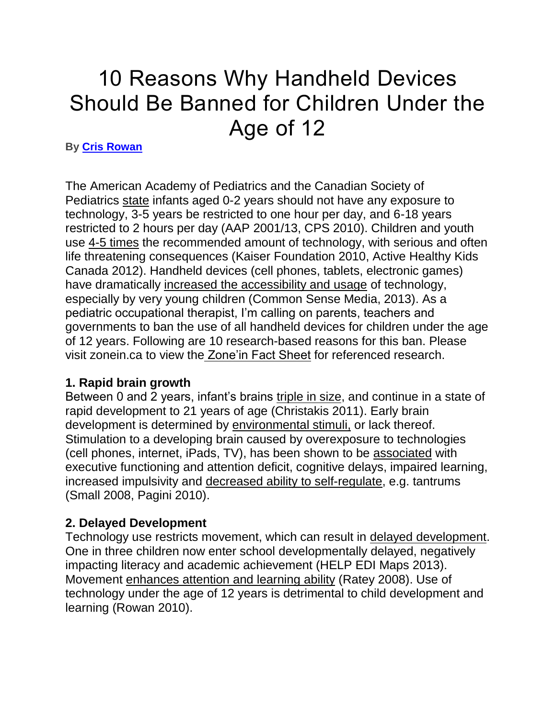# 10 Reasons Why Handheld Devices Should Be Banned for Children Under the Age of 12

#### **By [Cris Rowan](https://www.huffingtonpost.com/author/cris-rowan)**

The American Academy of Pediatrics and the Canadian Society of Pediatrics [state](http://pediatrics.aappublications.org/content/132/5/958.full) infants aged 0-2 years should not have any exposure to technology, 3-5 years be restricted to one hour per day, and 6-18 years restricted to 2 hours per day (AAP 2001/13, CPS 2010). Children and youth use [4-5 times](http://www.kff.org/entmedia/upload/8010.pdf) the recommended amount of technology, with serious and often life threatening consequences (Kaiser Foundation 2010, Active Healthy Kids Canada 2012). Handheld devices (cell phones, tablets, electronic games) have dramatically [increased the accessibility and usage](http://www.commonsensemedia.org/research/zero-to-eight-childrens-media-use-in-america-2013) of technology, especially by very young children (Common Sense Media, 2013). As a pediatric occupational therapist, I'm calling on parents, teachers and governments to ban the use of all handheld devices for children under the age of 12 years. Following are 10 research-based reasons for this ban. Please visit zonein.ca to view the [Zone'in Fact Sheet](http://www.zonein.ca/) for referenced research.

#### **1. Rapid brain growth**

Between 0 and 2 years, infant's brains [triple in size,](http://www.youtube.com/watch?v=BoT7qH_uVNo) and continue in a state of rapid development to 21 years of age (Christakis 2011). Early brain development is determined by [environmental stimuli,](http://archpedi.jamanetwork.com/article.aspx?articleid=383160) or lack thereof. Stimulation to a developing brain caused by overexposure to technologies (cell phones, internet, iPads, TV), has been shown to be [associated](http://www.ncbi.nlm.nih.gov/pubmed/15060216) with executive functioning and attention deficit, cognitive delays, impaired learning, increased impulsivity and [decreased ability to self-regulate,](http://pediatrics.aappublications.org/content/128/4/772.full) e.g. tantrums (Small 2008, Pagini 2010).

#### **2. Delayed Development**

Technology use restricts movement, which can result in [delayed development.](http://earlylearning.ubc.ca/maps/edi/bc/) One in three children now enter school developmentally delayed, negatively impacting literacy and academic achievement (HELP EDI Maps 2013). Movement [enhances attention and learning ability](http://www.youtube.com/watch?v=hBSVZdTQmDs) (Ratey 2008). Use of technology under the age of 12 years is detrimental to child development and learning (Rowan 2010).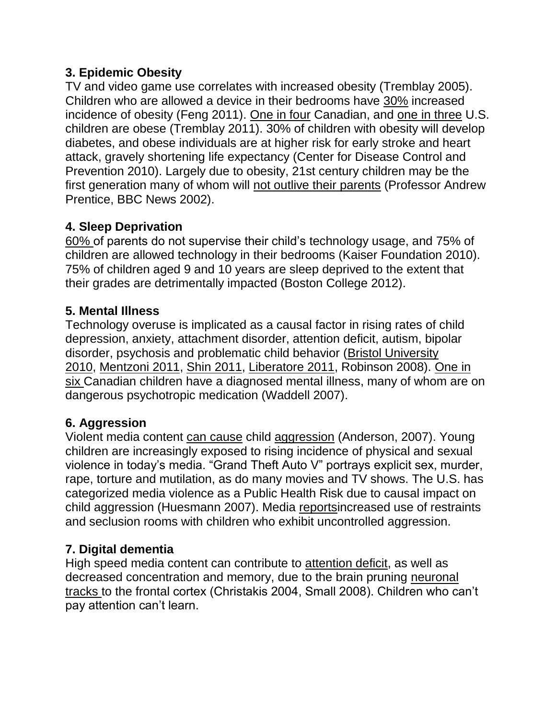#### **3. Epidemic Obesity**

TV and video game use correlates with increased obesity (Tremblay 2005). Children who are allowed a device in their bedrooms have [30%](http://www.ncbi.nlm.nih.gov/pubmed/21534833) increased incidence of obesity (Feng 2011). [One in four](http://www.apa.org/pi/families/resources/newsletter/2012/07/childhood-obesity.aspx) Canadian, and [one in three](http://www.ijbnpa.org/content/pdf/1479-5868-8-98.pdf) U.S. children are obese (Tremblay 2011). 30% of children with obesity will develop diabetes, and obese individuals are at higher risk for early stroke and heart attack, gravely shortening life expectancy (Center for Disease Control and Prevention 2010). Largely due to obesity, 21st century children may be the first generation many of whom will [not outlive their parents](http://news.bbc.co.uk/2/hi/in_depth/sci_tech/2002/leicester_2002/2246450.stm) (Professor Andrew Prentice, BBC News 2002).

#### **4. Sleep Deprivation**

[60%](http://www.newser.com/story/167562/us-kids-seriously-sleep-deprived.html) of parents do not supervise their child's technology usage, and 75% of children are allowed technology in their bedrooms (Kaiser Foundation 2010). 75% of children aged 9 and 10 years are sleep deprived to the extent that their grades are detrimentally impacted (Boston College 2012).

#### **5. Mental Illness**

Technology overuse is implicated as a causal factor in rising rates of child depression, anxiety, attachment disorder, attention deficit, autism, bipolar disorder, psychosis and problematic child behavior [\(Bristol University](http://www.bristol.ac.uk/sps/news/2010/107.html)  [2010,](http://www.bristol.ac.uk/sps/news/2010/107.html) [Mentzoni 2011,](http://www.ncbi.nlm.nih.gov/pubmed/21342010) [Shin 2011,](http://online.liebertpub.com/doi/abs/10.1089/cyber.2010.0470) [Liberatore 2011,](http://www.cmch.tv/SearchDetail2.aspx?rtrn=advnce&cid=6367.) Robinson 2008). [One in](http://www.firstcallbc.org/pdfs/Communities/4-alliance.pdf)  [six](http://www.firstcallbc.org/pdfs/Communities/4-alliance.pdf) Canadian children have a diagnosed mental illness, many of whom are on dangerous psychotropic medication (Waddell 2007).

#### **6. Aggression**

Violent media content [can cause](http://www.ncbi.nlm.nih.gov/pmc/articles/PMC2704015/) child [aggression](http://psp.sagepub.com/content/early/2014/01/22/0146167213520459.abstract) (Anderson, 2007). Young children are increasingly exposed to rising incidence of physical and sexual violence in today's media. "Grand Theft Auto V" portrays explicit sex, murder, rape, torture and mutilation, as do many movies and TV shows. The U.S. has categorized media violence as a Public Health Risk due to causal impact on child aggression (Huesmann 2007). Media [reportsi](http://www.belfasttelegraph.co.uk/news/local-national/uk/pupils-6-acting-out-rape-scenes-30003114.html)ncreased use of restraints and seclusion rooms with children who exhibit uncontrolled aggression.

#### **7. Digital dementia**

High speed media content can contribute to [attention deficit,](http://pediatrics.aappublications.org/content/113/4/708.abstract) as well as decreased concentration and memory, due to the brain pruning [neuronal](http://www.drgarysmall.com/books/ibrain/)  [tracks](http://www.drgarysmall.com/books/ibrain/) to the frontal cortex (Christakis 2004, Small 2008). Children who can't pay attention can't learn.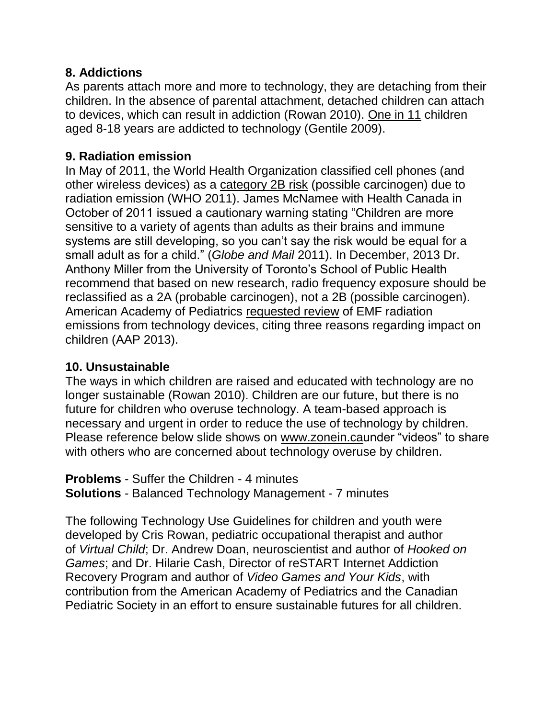#### **8. Addictions**

As parents attach more and more to technology, they are detaching from their children. In the absence of parental attachment, detached children can attach to devices, which can result in addiction (Rowan 2010). [One in 11](http://www.drdouglas.org/drdpdfs/Gentile_Pathological_VG_Use_2009e.pdf) children aged 8-18 years are addicted to technology (Gentile 2009).

## **9. Radiation emission**

In May of 2011, the World Health Organization classified cell phones (and other wireless devices) as a [category 2B risk](http://apps.fcc.gov/ecfs/document/view?id=7520941318) (possible carcinogen) due to radiation emission (WHO 2011). James McNamee with Health Canada in October of 2011 issued a cautionary warning stating "Children are more sensitive to a variety of agents than adults as their brains and immune systems are still developing, so you can't say the risk would be equal for a small adult as for a child." (*Globe and Mail* 2011). In December, 2013 Dr. Anthony Miller from the University of Toronto's School of Public Health recommend that based on new research, radio frequency exposure should be reclassified as a 2A (probable carcinogen), not a 2B (possible carcinogen). American Academy of Pediatrics [requested review](http://apps.fcc.gov/ecfs/document/view?id=7520941318) of EMF radiation emissions from technology devices, citing three reasons regarding impact on children (AAP 2013).

## **10. Unsustainable**

The ways in which children are raised and educated with technology are no longer sustainable (Rowan 2010). Children are our future, but there is no future for children who overuse technology. A team-based approach is necessary and urgent in order to reduce the use of technology by children. Please reference below slide shows on [www.zonein.cau](http://www.zonein.ca/)nder "videos" to share with others who are concerned about technology overuse by children.

**Problems** - Suffer the Children - 4 minutes **Solutions** - Balanced Technology Management - 7 minutes

The following Technology Use Guidelines for children and youth were developed by Cris Rowan, pediatric occupational therapist and author of *Virtual Child*; Dr. Andrew Doan, neuroscientist and author of *Hooked on Games*; and Dr. Hilarie Cash, Director of reSTART Internet Addiction Recovery Program and author of *Video Games and Your Kids*, with contribution from the American Academy of Pediatrics and the Canadian Pediatric Society in an effort to ensure sustainable futures for all children.